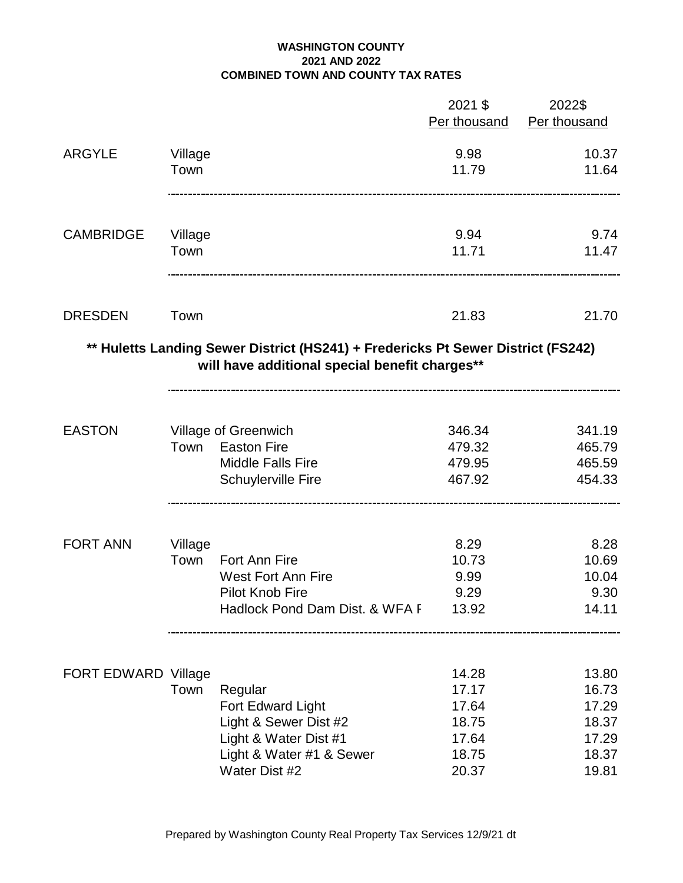## **WASHINGTON COUNTY 2021 AND 2022 COMBINED TOWN AND COUNTY TAX RATES**

|                            |         |                                                                                                                                    | 2021 \$<br>Per thousand | 2022\$<br>Per thousand |
|----------------------------|---------|------------------------------------------------------------------------------------------------------------------------------------|-------------------------|------------------------|
| <b>ARGYLE</b>              | Village |                                                                                                                                    | 9.98                    | 10.37                  |
|                            | Town    |                                                                                                                                    | 11.79                   | 11.64                  |
| <b>CAMBRIDGE</b>           | Village |                                                                                                                                    | 9.94                    | 9.74                   |
|                            | Town    |                                                                                                                                    | 11.71                   | 11.47                  |
| <b>DRESDEN</b>             | Town    |                                                                                                                                    | 21.83                   | 21.70                  |
|                            |         | ** Huletts Landing Sewer District (HS241) + Fredericks Pt Sewer District (FS242)<br>will have additional special benefit charges** |                         |                        |
| <b>EASTON</b>              |         | Village of Greenwich                                                                                                               | 346.34                  | 341.19                 |
|                            | Town    | <b>Easton Fire</b><br><b>Middle Falls Fire</b>                                                                                     | 479.32<br>479.95        | 465.79<br>465.59       |
|                            |         | <b>Schuylerville Fire</b>                                                                                                          | 467.92                  | 454.33                 |
| <b>FORT ANN</b>            | Village |                                                                                                                                    | 8.29                    | 8.28                   |
|                            | Town    | Fort Ann Fire                                                                                                                      | 10.73                   | 10.69                  |
|                            |         | <b>West Fort Ann Fire</b><br><b>Pilot Knob Fire</b>                                                                                | 9.99<br>9.29            | 10.04<br>9.30          |
|                            |         | Hadlock Pond Dam Dist. & WFA F                                                                                                     | 13.92                   | 14.11                  |
|                            |         |                                                                                                                                    |                         |                        |
| <b>FORT EDWARD Village</b> | Town    |                                                                                                                                    | 14.28<br>17.17          | 13.80<br>16.73         |
|                            |         | Regular<br>Fort Edward Light                                                                                                       | 17.64                   | 17.29                  |
|                            |         | Light & Sewer Dist #2                                                                                                              | 18.75                   | 18.37                  |
|                            |         | Light & Water Dist #1                                                                                                              | 17.64                   | 17.29                  |
|                            |         | Light & Water #1 & Sewer                                                                                                           | 18.75                   | 18.37                  |
|                            |         | Water Dist #2                                                                                                                      | 20.37                   | 19.81                  |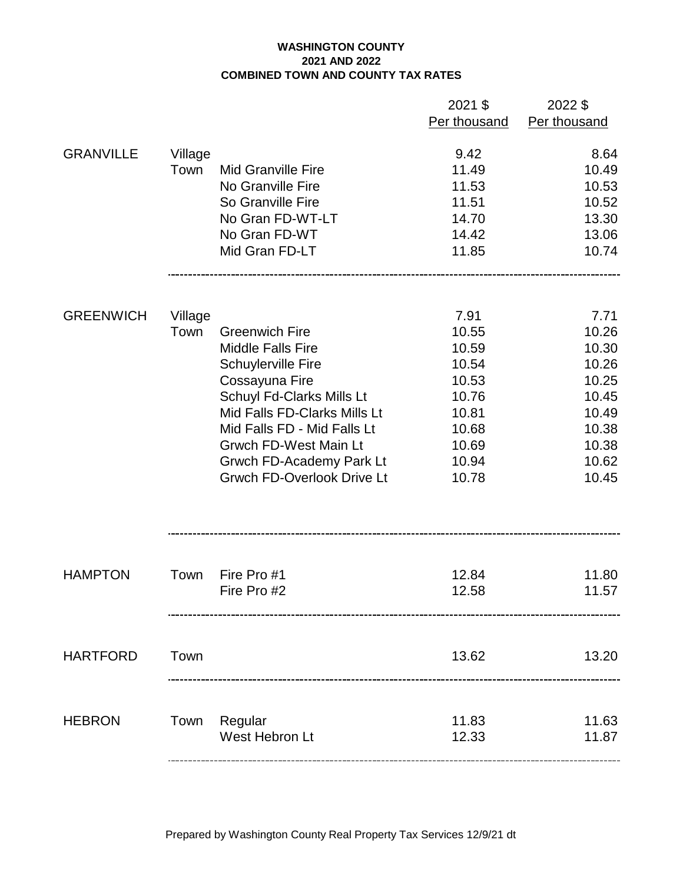## **WASHINGTON COUNTY 2021 AND 2022 COMBINED TOWN AND COUNTY TAX RATES**

|                  |         |                                   | 2021 \$      | 2022 \$      |
|------------------|---------|-----------------------------------|--------------|--------------|
|                  |         |                                   | Per thousand | Per thousand |
|                  |         |                                   |              |              |
| <b>GRANVILLE</b> | Village |                                   | 9.42         | 8.64         |
|                  | Town    | <b>Mid Granville Fire</b>         | 11.49        | 10.49        |
|                  |         | No Granville Fire                 | 11.53        | 10.53        |
|                  |         | So Granville Fire                 | 11.51        | 10.52        |
|                  |         | No Gran FD-WT-LT                  | 14.70        | 13.30        |
|                  |         | No Gran FD-WT                     | 14.42        | 13.06        |
|                  |         | Mid Gran FD-LT                    | 11.85        | 10.74        |
|                  |         |                                   |              |              |
| <b>GREENWICH</b> | Village |                                   | 7.91         | 7.71         |
|                  | Town    | <b>Greenwich Fire</b>             | 10.55        | 10.26        |
|                  |         | <b>Middle Falls Fire</b>          | 10.59        | 10.30        |
|                  |         | Schuylerville Fire                | 10.54        | 10.26        |
|                  |         | Cossayuna Fire                    | 10.53        | 10.25        |
|                  |         | Schuyl Fd-Clarks Mills Lt         | 10.76        | 10.45        |
|                  |         | Mid Falls FD-Clarks Mills Lt      | 10.81        | 10.49        |
|                  |         | Mid Falls FD - Mid Falls Lt       | 10.68        | 10.38        |
|                  |         | <b>Grwch FD-West Main Lt</b>      | 10.69        | 10.38        |
|                  |         | Grwch FD-Academy Park Lt          | 10.94        | 10.62        |
|                  |         | <b>Grwch FD-Overlook Drive Lt</b> | 10.78        | 10.45        |
|                  |         |                                   |              |              |
|                  |         |                                   |              |              |
| <b>HAMPTON</b>   | Town    | Fire Pro #1                       | 12.84        | 11.80        |
|                  |         | Fire Pro #2                       | 12.58        | 11.57        |
|                  |         |                                   |              |              |
| <b>HARTFORD</b>  | Town    |                                   | 13.62        | 13.20        |
|                  |         |                                   |              |              |
| <b>HEBRON</b>    |         | Town Regular                      | 11.83        | 11.63        |
|                  |         | West Hebron Lt                    | 12.33        | 11.87        |
|                  |         |                                   |              |              |

Prepared by Washington County Real Property Tax Services 12/9/21 dt